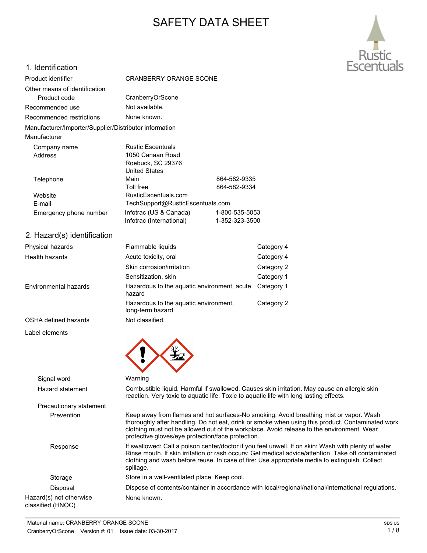# SAFETY DATA SHEET



## 1. Identification

| Product identifier                                     | <b>CRANBERRY ORANGE SCONE</b>                                                             |                                  |            |
|--------------------------------------------------------|-------------------------------------------------------------------------------------------|----------------------------------|------------|
| Other means of identification                          |                                                                                           |                                  |            |
| Product code                                           | CranberryOrScone                                                                          |                                  |            |
| Recommended use                                        | Not available.                                                                            |                                  |            |
| Recommended restrictions                               | None known.                                                                               |                                  |            |
| Manufacturer/Importer/Supplier/Distributor information |                                                                                           |                                  |            |
| Manufacturer                                           |                                                                                           |                                  |            |
| Company name<br>Address                                | <b>Rustic Escentuals</b><br>1050 Canaan Road<br>Roebuck, SC 29376<br><b>United States</b> |                                  |            |
| Telephone                                              | Main<br><b>Toll free</b>                                                                  | 864-582-9335<br>864-582-9334     |            |
| Website<br>E-mail                                      | RusticEscentuals.com<br>TechSupport@RusticEscentuals.com                                  |                                  |            |
| Emergency phone number                                 | Infotrac (US & Canada)<br>Infotrac (International)                                        | 1-800-535-5053<br>1-352-323-3500 |            |
| 2. Hazard(s) identification                            |                                                                                           |                                  |            |
| Physical hazards                                       | Flammable liquids                                                                         |                                  | Category 4 |
| Health hazards                                         | Acute toxicity, oral                                                                      |                                  | Category 4 |
|                                                        | Skin corrosion/irritation                                                                 |                                  | Category 2 |
|                                                        | Sensitization, skin                                                                       |                                  | Category 1 |
| Environmental hazards                                  | Hazardous to the aquatic environment, acute<br>hazard                                     |                                  | Category 1 |

long-term hazard

OSHA defined hazards Not classified.

Label elements

Signal word Warning Hazard statement Combustible liquid. Harmful if swallowed. Causes skin irritation. May cause an allergic skin reaction. Very toxic to aquatic life. Toxic to aquatic life with long lasting effects. Precautionary statement Prevention Keep away from flames and hot surfaces-No smoking. Avoid breathing mist or vapor. Wash thoroughly after handling. Do not eat, drink or smoke when using this product. Contaminated work clothing must not be allowed out of the workplace. Avoid release to the environment. Wear protective gloves/eye protection/face protection. Response If swallowed: Call a poison center/doctor if you feel unwell. If on skin: Wash with plenty of water. Rinse mouth. If skin irritation or rash occurs: Get medical advice/attention. Take off contaminated clothing and wash before reuse. In case of fire: Use appropriate media to extinguish. Collect spillage. Storage Store in a well-ventilated place. Keep cool. Disposal Dispose of contents/container in accordance with local/regional/national/international regulations. Hazard(s) not otherwise classified (HNOC) None known.

Hazardous to the aquatic environment, Category 2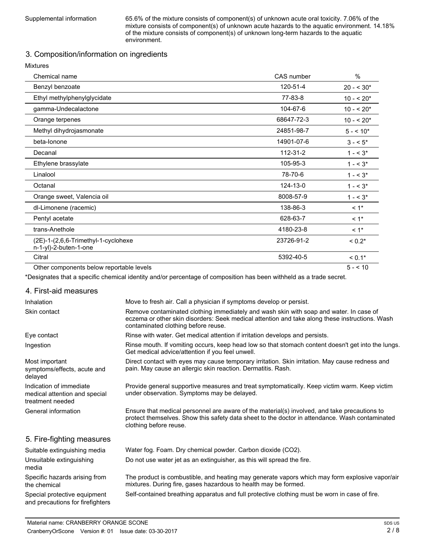Supplemental information 65.6% of the mixture consists of component(s) of unknown acute oral toxicity. 7.06% of the mixture consists of component(s) of unknown acute hazards to the aquatic environment. 14.18% of the mixture consists of component(s) of unknown long-term hazards to the aquatic environment.

## 3. Composition/information on ingredients

Mixtures

| Chemical name                                                | CAS number | %                  |
|--------------------------------------------------------------|------------|--------------------|
| Benzyl benzoate                                              | 120-51-4   | $20 - 530*$        |
| Ethyl methylphenylglycidate                                  | 77-83-8    | $10 - 520*$        |
| gamma-Undecalactone                                          | 104-67-6   | $10 - 520*$        |
| Orange terpenes                                              | 68647-72-3 | $10 - 520*$        |
| Methyl dihydrojasmonate                                      | 24851-98-7 | $5 - 10*$          |
| beta-lonone                                                  | 14901-07-6 | $3 - 5^*$          |
| Decanal                                                      | 112-31-2   | $1 - 5^*$          |
| Ethylene brassylate                                          | 105-95-3   | $1 - 5^*$          |
| Linalool                                                     | 78-70-6    | $1 - 5^*$          |
| Octanal                                                      | 124-13-0   | $1 - 5^*$          |
| Orange sweet, Valencia oil                                   | 8008-57-9  | $1 - 3^*$          |
| dl-Limonene (racemic)                                        | 138-86-3   | $< 1$ *            |
| Pentyl acetate                                               | 628-63-7   | $< 1$ <sup>*</sup> |
| trans-Anethole                                               | 4180-23-8  | $< 1$ *            |
| (2E)-1-(2,6,6-Trimethyl-1-cyclohexe<br>n-1-yl)-2-buten-1-one | 23726-91-2 | $< 0.2*$           |
| Citral                                                       | 5392-40-5  | $< 0.1*$           |
| Other components below reportable levels                     |            | $5 - 10$           |

\*Designates that a specific chemical identity and/or percentage of composition has been withheld as a trade secret.

#### 4. First-aid measures

| Inhalation                                                                   | Move to fresh air. Call a physician if symptoms develop or persist.                                                                                                                                                             |
|------------------------------------------------------------------------------|---------------------------------------------------------------------------------------------------------------------------------------------------------------------------------------------------------------------------------|
| Skin contact                                                                 | Remove contaminated clothing immediately and wash skin with soap and water. In case of<br>eczema or other skin disorders: Seek medical attention and take along these instructions. Wash<br>contaminated clothing before reuse. |
| Eye contact                                                                  | Rinse with water. Get medical attention if irritation develops and persists.                                                                                                                                                    |
| Ingestion                                                                    | Rinse mouth. If vomiting occurs, keep head low so that stomach content doesn't get into the lungs.<br>Get medical advice/attention if you feel unwell.                                                                          |
| Most important<br>symptoms/effects, acute and<br>delayed                     | Direct contact with eyes may cause temporary irritation. Skin irritation. May cause redness and<br>pain. May cause an allergic skin reaction. Dermatitis. Rash.                                                                 |
| Indication of immediate<br>medical attention and special<br>treatment needed | Provide general supportive measures and treat symptomatically. Keep victim warm. Keep victim<br>under observation. Symptoms may be delayed.                                                                                     |
| General information                                                          | Ensure that medical personnel are aware of the material(s) involved, and take precautions to<br>protect themselves. Show this safety data sheet to the doctor in attendance. Wash contaminated<br>clothing before reuse.        |
| 5. Fire-fighting measures                                                    |                                                                                                                                                                                                                                 |
| Suitable extinguishing media                                                 | Water fog. Foam. Dry chemical powder. Carbon dioxide (CO2).                                                                                                                                                                     |
| Unsuitable extinguishing<br>media                                            | Do not use water jet as an extinguisher, as this will spread the fire.                                                                                                                                                          |
| Specific hazards arising from<br>the chemical                                | The product is combustible, and heating may generate vapors which may form explosive vapor/air<br>mixtures. During fire, gases hazardous to health may be formed.                                                               |
| Special protective equipment<br>and precautions for firefighters             | Self-contained breathing apparatus and full protective clothing must be worn in case of fire.                                                                                                                                   |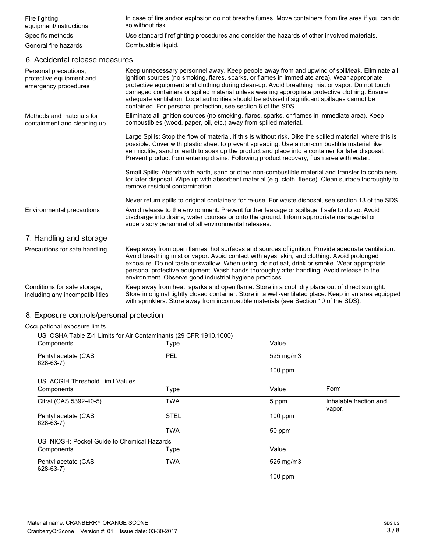| Fire fighting<br>equipment/instructions | In case of fire and/or explosion do not breathe fumes. Move containers from fire area if you can do<br>so without risk. |
|-----------------------------------------|-------------------------------------------------------------------------------------------------------------------------|
| Specific methods                        | Use standard firefighting procedures and consider the hazards of other involved materials.                              |
| General fire hazards                    | Combustible liquid.                                                                                                     |

### 6. Accidental release measures

| Personal precautions,<br>protective equipment and<br>emergency procedures | Keep unnecessary personnel away. Keep people away from and upwind of spill/leak. Eliminate all<br>ignition sources (no smoking, flares, sparks, or flames in immediate area). Wear appropriate<br>protective equipment and clothing during clean-up. Avoid breathing mist or vapor. Do not touch<br>damaged containers or spilled material unless wearing appropriate protective clothing. Ensure<br>adequate ventilation. Local authorities should be advised if significant spillages cannot be<br>contained. For personal protection, see section 8 of the SDS. |
|---------------------------------------------------------------------------|--------------------------------------------------------------------------------------------------------------------------------------------------------------------------------------------------------------------------------------------------------------------------------------------------------------------------------------------------------------------------------------------------------------------------------------------------------------------------------------------------------------------------------------------------------------------|
| Methods and materials for<br>containment and cleaning up                  | Eliminate all ignition sources (no smoking, flares, sparks, or flames in immediate area). Keep<br>combustibles (wood, paper, oil, etc.) away from spilled material.                                                                                                                                                                                                                                                                                                                                                                                                |
|                                                                           | Large Spills: Stop the flow of material, if this is without risk. Dike the spilled material, where this is<br>possible. Cover with plastic sheet to prevent spreading. Use a non-combustible material like<br>vermiculite, sand or earth to soak up the product and place into a container for later disposal.<br>Prevent product from entering drains. Following product recovery, flush area with water.                                                                                                                                                         |
|                                                                           | Small Spills: Absorb with earth, sand or other non-combustible material and transfer to containers<br>for later disposal. Wipe up with absorbent material (e.g. cloth, fleece). Clean surface thoroughly to<br>remove residual contamination.                                                                                                                                                                                                                                                                                                                      |
|                                                                           | Never return spills to original containers for re-use. For waste disposal, see section 13 of the SDS.                                                                                                                                                                                                                                                                                                                                                                                                                                                              |
| Environmental precautions                                                 | Avoid release to the environment. Prevent further leakage or spillage if safe to do so. Avoid<br>discharge into drains, water courses or onto the ground. Inform appropriate managerial or<br>supervisory personnel of all environmental releases.                                                                                                                                                                                                                                                                                                                 |
| 7. Handling and storage                                                   |                                                                                                                                                                                                                                                                                                                                                                                                                                                                                                                                                                    |
| Precautions for safe handling                                             | Keep away from open flames, hot surfaces and sources of ignition. Provide adequate ventilation.<br>Avoid breathing mist or vapor. Avoid contact with eyes, skin, and clothing. Avoid prolonged<br>exposure. Do not taste or swallow. When using, do not eat, drink or smoke. Wear appropriate<br>personal protective equipment. Wash hands thoroughly after handling. Avoid release to the<br>environment. Observe good industrial hygiene practices.                                                                                                              |
| Conditions for safe storage.<br>including any incompatibilities           | Keep away from heat, sparks and open flame. Store in a cool, dry place out of direct sunlight.<br>Store in original tightly closed container. Store in a well-ventilated place. Keep in an area equipped<br>with sprinklers. Store away from incompatible materials (see Section 10 of the SDS).                                                                                                                                                                                                                                                                   |

## 8. Exposure controls/personal protection

## Occupational exposure limits

US. OSHA Table Z-1 Limits for Air Contaminants (29 CFR 1910.1000)

| Components                                  | Type        | Value     |                                  |
|---------------------------------------------|-------------|-----------|----------------------------------|
| Pentyl acetate (CAS<br>628-63-7)            | PEL         | 525 mg/m3 |                                  |
|                                             |             | $100$ ppm |                                  |
| US. ACGIH Threshold Limit Values            |             |           |                                  |
| Components                                  | Type        | Value     | Form                             |
| Citral (CAS 5392-40-5)                      | <b>TWA</b>  | 5 ppm     | Inhalable fraction and<br>vapor. |
| Pentyl acetate (CAS<br>$628-63-7$           | <b>STEL</b> | $100$ ppm |                                  |
|                                             | <b>TWA</b>  | 50 ppm    |                                  |
| US. NIOSH: Pocket Guide to Chemical Hazards |             |           |                                  |
| Components                                  | Type        | Value     |                                  |
| Pentyl acetate (CAS<br>$628-63-7$           | <b>TWA</b>  | 525 mg/m3 |                                  |
|                                             |             | $100$ ppm |                                  |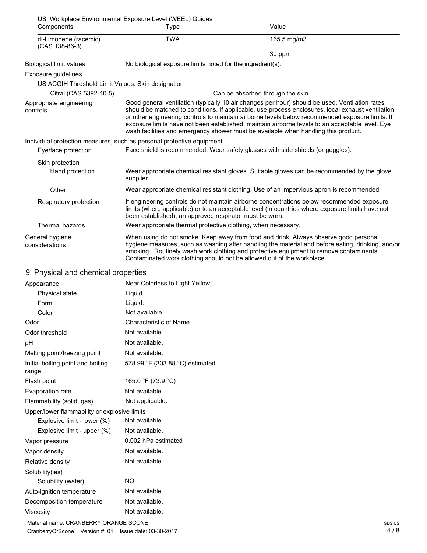| Components                                        | US. Workplace Environmental Exposure Level (WEEL) Guides<br>Type      | Value                                                                                                                                                                                                                                                                                                                                                                                                                                                                                            |
|---------------------------------------------------|-----------------------------------------------------------------------|--------------------------------------------------------------------------------------------------------------------------------------------------------------------------------------------------------------------------------------------------------------------------------------------------------------------------------------------------------------------------------------------------------------------------------------------------------------------------------------------------|
| dl-Limonene (racemic)<br>(CAS 138-86-3)           | <b>TWA</b>                                                            | 165.5 mg/m3                                                                                                                                                                                                                                                                                                                                                                                                                                                                                      |
|                                                   |                                                                       | 30 ppm                                                                                                                                                                                                                                                                                                                                                                                                                                                                                           |
| <b>Biological limit values</b>                    | No biological exposure limits noted for the ingredient(s).            |                                                                                                                                                                                                                                                                                                                                                                                                                                                                                                  |
| Exposure guidelines                               |                                                                       |                                                                                                                                                                                                                                                                                                                                                                                                                                                                                                  |
| US ACGIH Threshold Limit Values: Skin designation |                                                                       |                                                                                                                                                                                                                                                                                                                                                                                                                                                                                                  |
| Citral (CAS 5392-40-5)                            |                                                                       | Can be absorbed through the skin.                                                                                                                                                                                                                                                                                                                                                                                                                                                                |
| Appropriate engineering<br>controls               |                                                                       | Good general ventilation (typically 10 air changes per hour) should be used. Ventilation rates<br>should be matched to conditions. If applicable, use process enclosures, local exhaust ventilation,<br>or other engineering controls to maintain airborne levels below recommended exposure limits. If<br>exposure limits have not been established, maintain airborne levels to an acceptable level. Eye<br>wash facilities and emergency shower must be available when handling this product. |
|                                                   | Individual protection measures, such as personal protective equipment |                                                                                                                                                                                                                                                                                                                                                                                                                                                                                                  |
| Eye/face protection                               |                                                                       | Face shield is recommended. Wear safety glasses with side shields (or goggles).                                                                                                                                                                                                                                                                                                                                                                                                                  |
| Skin protection                                   |                                                                       |                                                                                                                                                                                                                                                                                                                                                                                                                                                                                                  |
| Hand protection                                   | supplier.                                                             | Wear appropriate chemical resistant gloves. Suitable gloves can be recommended by the glove                                                                                                                                                                                                                                                                                                                                                                                                      |
| Other                                             |                                                                       | Wear appropriate chemical resistant clothing. Use of an impervious apron is recommended.                                                                                                                                                                                                                                                                                                                                                                                                         |
| Respiratory protection                            | been established), an approved respirator must be worn.               | If engineering controls do not maintain airborne concentrations below recommended exposure<br>limits (where applicable) or to an acceptable level (in countries where exposure limits have not                                                                                                                                                                                                                                                                                                   |
| Thermal hazards                                   | Wear appropriate thermal protective clothing, when necessary.         |                                                                                                                                                                                                                                                                                                                                                                                                                                                                                                  |
| General hygiene<br>considerations                 |                                                                       | When using do not smoke. Keep away from food and drink. Always observe good personal<br>hygiene measures, such as washing after handling the material and before eating, drinking, and/or<br>smoking. Routinely wash work clothing and protective equipment to remove contaminants.<br>Contaminated work clothing should not be allowed out of the workplace.                                                                                                                                    |
| 9. Physical and chemical properties               |                                                                       |                                                                                                                                                                                                                                                                                                                                                                                                                                                                                                  |
| Appearance                                        | Near Colorless to Light Yellow                                        |                                                                                                                                                                                                                                                                                                                                                                                                                                                                                                  |
| Physical state                                    | Liquid.                                                               |                                                                                                                                                                                                                                                                                                                                                                                                                                                                                                  |
| Form                                              | Liquid.                                                               |                                                                                                                                                                                                                                                                                                                                                                                                                                                                                                  |
| Color                                             | Not available.                                                        |                                                                                                                                                                                                                                                                                                                                                                                                                                                                                                  |
| Odor                                              | Characteristic of Name                                                |                                                                                                                                                                                                                                                                                                                                                                                                                                                                                                  |
| Odor threshold                                    | Not available.                                                        |                                                                                                                                                                                                                                                                                                                                                                                                                                                                                                  |
| рH                                                | Not available.                                                        |                                                                                                                                                                                                                                                                                                                                                                                                                                                                                                  |
| Melting point/freezing point                      | Not available.                                                        |                                                                                                                                                                                                                                                                                                                                                                                                                                                                                                  |
| Initial boiling point and boiling<br>range        | 578.99 °F (303.88 °C) estimated                                       |                                                                                                                                                                                                                                                                                                                                                                                                                                                                                                  |
| Flash point                                       | 165.0 °F (73.9 °C)                                                    |                                                                                                                                                                                                                                                                                                                                                                                                                                                                                                  |
| Evaporation rate                                  | Not available.                                                        |                                                                                                                                                                                                                                                                                                                                                                                                                                                                                                  |
| Flammability (solid, gas)                         | Not applicable.                                                       |                                                                                                                                                                                                                                                                                                                                                                                                                                                                                                  |

Upper/lower flammability or explosive limits Explosive limit - lower (%) Not available.

| Explosive limit - upper (%) | Not available.      |
|-----------------------------|---------------------|
| Vapor pressure              | 0.002 hPa estimated |
| Vapor density               | Not available.      |
| Relative density            | Not available.      |
| Solubility(ies)             |                     |
| Solubility (water)          | NO.                 |
| Auto-ignition temperature   | Not available.      |
| Decomposition temperature   | Not available.      |
| Viscosity                   | Not available.      |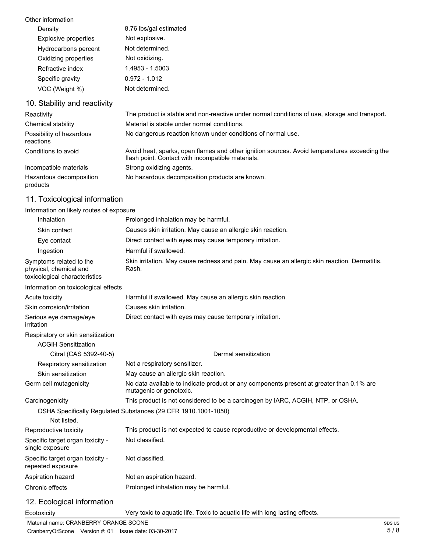| Other information            |                                                                                               |
|------------------------------|-----------------------------------------------------------------------------------------------|
| Density                      | 8.76 lbs/gal estimated                                                                        |
| Explosive properties         | Not explosive.                                                                                |
| Hydrocarbons percent         | Not determined.                                                                               |
| Oxidizing properties         | Not oxidizing.                                                                                |
| Refractive index             | 1.4953 - 1.5003                                                                               |
| Specific gravity             | $0.972 - 1.012$                                                                               |
| VOC (Weight %)               | Not determined.                                                                               |
| 10. Stability and reactivity |                                                                                               |
| Reactivity                   | The product is stable and non-reactive under normal conditions of use, storage and transport. |
| Chemical stability           | Material is stable under normal conditions.                                                   |
| Possibility of hazardous     | No dangerous reaction known under conditions of normal use.                                   |

reactions Avoid heat, sparks, open flames and other ignition sources. Avoid temperatures exceeding the flash point. Contact with incompatible materials. Conditions to avoid Incompatible materials Strong oxidizing agents. Hazardous decomposition No hazardous decomposition products are known. products

## 11. Toxicological information

#### Information on likely routes of exposure

| Inhalation                                                                         | Prolonged inhalation may be harmful.                                                                                |
|------------------------------------------------------------------------------------|---------------------------------------------------------------------------------------------------------------------|
| Skin contact                                                                       | Causes skin irritation. May cause an allergic skin reaction.                                                        |
| Eye contact                                                                        | Direct contact with eyes may cause temporary irritation.                                                            |
| Ingestion                                                                          | Harmful if swallowed.                                                                                               |
| Symptoms related to the<br>physical, chemical and<br>toxicological characteristics | Skin irritation. May cause redness and pain. May cause an allergic skin reaction. Dermatitis.<br>Rash.              |
| Information on toxicological effects                                               |                                                                                                                     |
| Acute toxicity                                                                     | Harmful if swallowed. May cause an allergic skin reaction.                                                          |
| Skin corrosion/irritation                                                          | Causes skin irritation.                                                                                             |
| Serious eye damage/eye<br>irritation                                               | Direct contact with eyes may cause temporary irritation.                                                            |
| Respiratory or skin sensitization<br><b>ACGIH Sensitization</b>                    |                                                                                                                     |
| Citral (CAS 5392-40-5)                                                             | Dermal sensitization                                                                                                |
| Respiratory sensitization                                                          | Not a respiratory sensitizer.                                                                                       |
| Skin sensitization                                                                 | May cause an allergic skin reaction.                                                                                |
| Germ cell mutagenicity                                                             | No data available to indicate product or any components present at greater than 0.1% are<br>mutagenic or genotoxic. |
| Carcinogenicity                                                                    | This product is not considered to be a carcinogen by IARC, ACGIH, NTP, or OSHA.                                     |
| Not listed.                                                                        | OSHA Specifically Regulated Substances (29 CFR 1910.1001-1050)                                                      |
| Reproductive toxicity                                                              | This product is not expected to cause reproductive or developmental effects.                                        |
| Specific target organ toxicity -<br>single exposure                                | Not classified.                                                                                                     |
| Specific target organ toxicity -<br>repeated exposure                              | Not classified.                                                                                                     |
| Aspiration hazard                                                                  | Not an aspiration hazard.                                                                                           |
| Chronic effects                                                                    | Prolonged inhalation may be harmful.                                                                                |
| 12. Ecological information                                                         |                                                                                                                     |
| Ecotoxicity                                                                        | Very toxic to aquatic life. Toxic to aquatic life with long lasting effects.                                        |

Material name: CRANBERRY ORANGE SCONE SOME SUSPENSIVE CONFIDENTIAL CONTROL INTERFERIENT SUSPENSIVE SUSPENSIVE SUSPENSIVE SUSPENSIVE SUSPENSIVE SUSPENSIVE SUSPENSIVE SUSPENSIVE SUSPENSIVE SUSPENSIVE SUSPENSIVE SUSPENSIVE SU CranberryOrScone Version #: 01 Issue date: 03-30-2017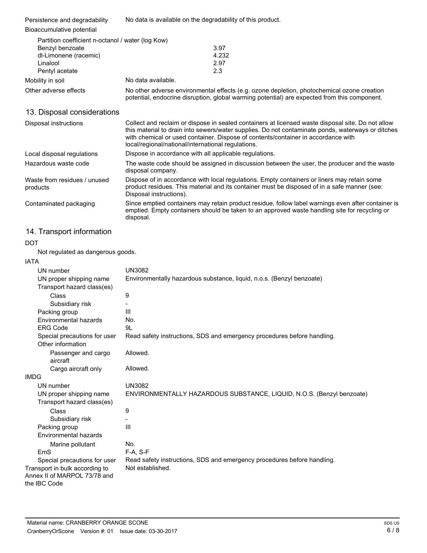| Persistence and degradability<br>Bioaccumulative potential | No data is available on the degradability of this product.                                                                                                                                                                                                                                  |  |
|------------------------------------------------------------|---------------------------------------------------------------------------------------------------------------------------------------------------------------------------------------------------------------------------------------------------------------------------------------------|--|
|                                                            |                                                                                                                                                                                                                                                                                             |  |
| Partition coefficient n-octanol / water (log Kow)          |                                                                                                                                                                                                                                                                                             |  |
| Benzyl benzoate                                            | 3.97                                                                                                                                                                                                                                                                                        |  |
| dl-Limonene (racemic)                                      | 4.232                                                                                                                                                                                                                                                                                       |  |
| Linalool                                                   | 2.97                                                                                                                                                                                                                                                                                        |  |
| Pentyl acetate                                             | 2.3                                                                                                                                                                                                                                                                                         |  |
| Mobility in soil                                           | No data available.                                                                                                                                                                                                                                                                          |  |
| Other adverse effects                                      | No other adverse environmental effects (e.g. ozone depletion, photochemical ozone creation<br>potential, endocrine disruption, global warming potential) are expected from this component.                                                                                                  |  |
| 13. Disposal considerations                                |                                                                                                                                                                                                                                                                                             |  |
| Disposal instructions                                      | Collect and reclaim or dispose in sealed containers at licensed waste disposal site. Do not allow<br>this material to drain into sewers/water supplies. Do not contaminate ponds, waterways or ditches<br>with chemical or used container. Dispose of contents/container in accordance with |  |

| Local disposal regulations               | Dispose in accordance with all applicable regulations.                                                                                                                                                                 |
|------------------------------------------|------------------------------------------------------------------------------------------------------------------------------------------------------------------------------------------------------------------------|
| Hazardous waste code                     | The waste code should be assigned in discussion between the user, the producer and the waste<br>disposal company.                                                                                                      |
| Waste from residues / unused<br>products | Dispose of in accordance with local regulations. Empty containers or liners may retain some<br>product residues. This material and its container must be disposed of in a safe manner (see:<br>Disposal instructions). |
| Contaminated packaging                   | Since emptied containers may retain product residue, follow label warnings even after container is<br>emptied. Empty containers should be taken to an approved waste handling site for recycling or<br>disposal.       |

local/regional/national/international regulations.

# 14. Transport information

## DOT

Not regulated as dangerous goods.

| IAIA                                                  |                                                                         |
|-------------------------------------------------------|-------------------------------------------------------------------------|
| UN number                                             | <b>UN3082</b>                                                           |
| UN proper shipping name                               | Environmentally hazardous substance, liquid, n.o.s. (Benzyl benzoate)   |
| Transport hazard class(es)                            |                                                                         |
| Class                                                 | 9                                                                       |
| Subsidiary risk                                       |                                                                         |
| Packing group                                         | Ш                                                                       |
| Environmental hazards                                 | No.                                                                     |
| <b>ERG Code</b>                                       | 9L                                                                      |
| Special precautions for user<br>Other information     | Read safety instructions, SDS and emergency procedures before handling. |
| Passenger and cargo<br>aircraft                       | Allowed.                                                                |
| Cargo aircraft only                                   | Allowed.                                                                |
| <b>IMDG</b>                                           |                                                                         |
| UN number                                             | <b>UN3082</b>                                                           |
| UN proper shipping name<br>Transport hazard class(es) | ENVIRONMENTALLY HAZARDOUS SUBSTANCE, LIQUID, N.O.S. (Benzyl benzoate)   |
| Class                                                 | 9                                                                       |
| Subsidiary risk                                       |                                                                         |
| Packing group                                         | Ш                                                                       |
| Environmental hazards                                 |                                                                         |
| Marine pollutant                                      | No.                                                                     |
| EmS                                                   | $F-A, S-F$                                                              |
| Special precautions for user                          | Read safety instructions, SDS and emergency procedures before handling. |
| Transport in bulk according to                        | Not established.                                                        |
| Annex II of MARPOL 73/78 and                          |                                                                         |
| the IBC Code                                          |                                                                         |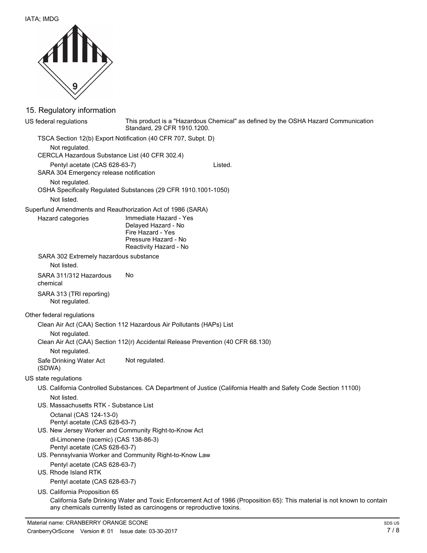

## 15. Regulatory information

This product is a "Hazardous Chemical" as defined by the OSHA Hazard Communication Standard, 29 CFR 1910.1200. US federal regulations TSCA Section 12(b) Export Notification (40 CFR 707, Subpt. D) Not regulated. CERCLA Hazardous Substance List (40 CFR 302.4) Pentyl acetate (CAS 628-63-7) Listed. SARA 304 Emergency release notification Not regulated. OSHA Specifically Regulated Substances (29 CFR 1910.1001-1050) Not listed. Superfund Amendments and Reauthorization Act of 1986 (SARA) Immediate Hazard - Yes Delayed Hazard - No Fire Hazard - Yes Pressure Hazard - No Reactivity Hazard - No Hazard categories SARA 302 Extremely hazardous substance Not listed. SARA 311/312 Hazardous No chemical SARA 313 (TRI reporting) Not regulated. Other federal regulations Clean Air Act (CAA) Section 112 Hazardous Air Pollutants (HAPs) List Not regulated. Clean Air Act (CAA) Section 112(r) Accidental Release Prevention (40 CFR 68.130) Not regulated. Safe Drinking Water Act Not regulated. (SDWA) US state regulations US. California Controlled Substances. CA Department of Justice (California Health and Safety Code Section 11100) Not listed. US. Massachusetts RTK - Substance List Octanal (CAS 124-13-0) Pentyl acetate (CAS 628-63-7) US. New Jersey Worker and Community Right-to-Know Act dl-Limonene (racemic) (CAS 138-86-3) Pentyl acetate (CAS 628-63-7) US. Pennsylvania Worker and Community Right-to-Know Law Pentyl acetate (CAS 628-63-7) US. Rhode Island RTK Pentyl acetate (CAS 628-63-7) US. California Proposition 65 California Safe Drinking Water and Toxic Enforcement Act of 1986 (Proposition 65): This material is not known to contain any chemicals currently listed as carcinogens or reproductive toxins.